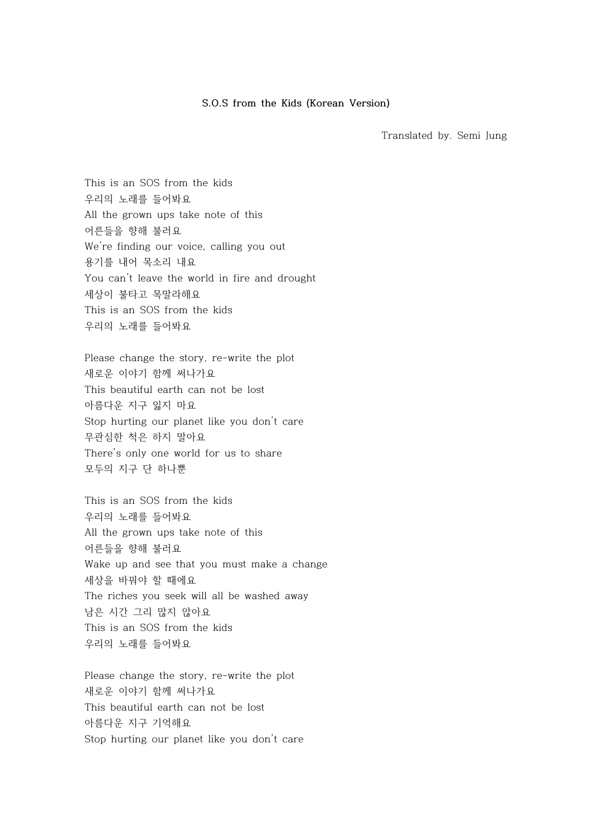## **S.O.S from the Kids (Korean Version)**

Translated by. Semi Jung

This is an SOS from the kids 우리의 노래를 들어봐요 All the grown ups take note of this 어른들을 향해 불러요 We're finding our voice, calling you out 용기를 내어 목소리 내요 You can't leave the world in fire and drought 세상이 불타고 목말라해요 This is an SOS from the kids 우리의 노래를 들어봐요

Please change the story, re-write the plot 새로운 이야기 함께 써나가요 This beautiful earth can not be lost 아름다운 지구 잃지 마요 Stop hurting our planet like you don't care 무관심한 척은 하지 말아요 There's only one world for us to share 모두의 지구 단 하나뿐

This is an SOS from the kids 우리의 노래를 들어봐요 All the grown ups take note of this 어른들을 향해 불러요 Wake up and see that you must make a change 세상을 바꿔야 할 때에요 The riches you seek will all be washed away 남은 시간 그리 많지 않아요 This is an SOS from the kids 우리의 노래를 들어봐요

Please change the story, re-write the plot 새로운 이야기 함께 써나가요 This beautiful earth can not be lost 아름다운 지구 기억해요 Stop hurting our planet like you don't care